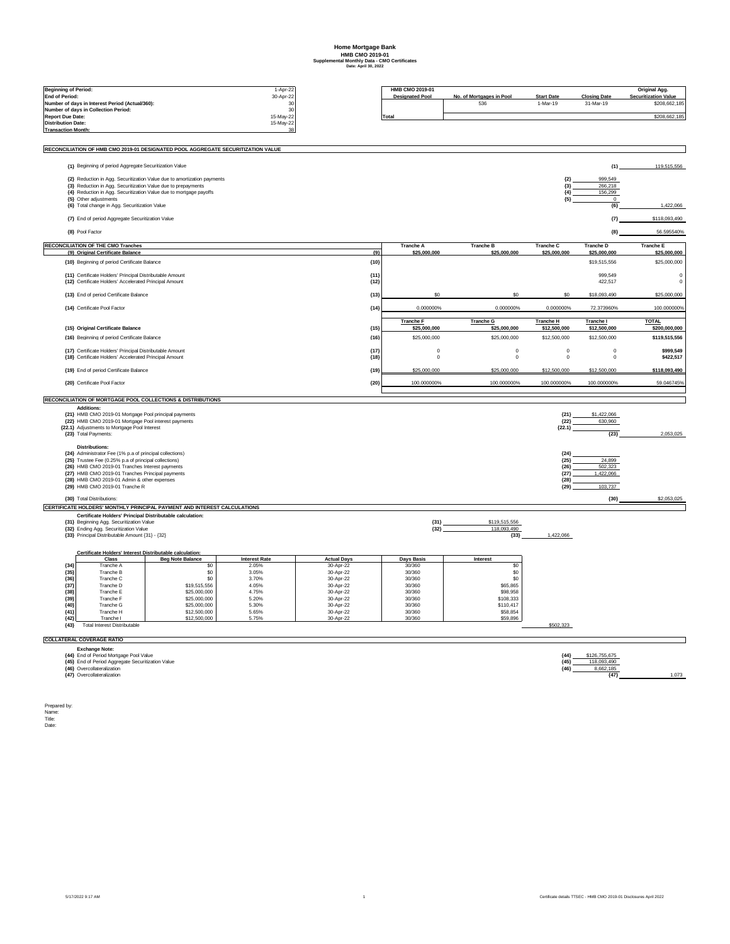## **Home Mortgage Bank HMB CMO 2019-01 Supplemental Monthly Data - CMO Certificates Date: April 30, 2022**

|                                                                 |                                                                                                                    |                                                                                  | 1-Apr-22             |                        | HMB CMO 2019-01                                  |                                  |                                  |                                  | Original Agg.                    |
|-----------------------------------------------------------------|--------------------------------------------------------------------------------------------------------------------|----------------------------------------------------------------------------------|----------------------|------------------------|--------------------------------------------------|----------------------------------|----------------------------------|----------------------------------|----------------------------------|
| <b>Beginning of Period:</b><br><b>End of Period:</b>            |                                                                                                                    |                                                                                  | 30-Apr-22            |                        | <b>Designated Pool</b>                           | No. of Mortgages in Pool         | <b>Start Date</b>                | <b>Closing Date</b>              | <b>Securitization Value</b>      |
| Number of days in Interest Period (Actual/360):                 |                                                                                                                    |                                                                                  | 30<br>30             |                        |                                                  | 536                              | 1-Mar-19                         | 31-Mar-19                        | \$208,662,185                    |
| Number of days in Collection Period:<br><b>Report Due Date:</b> |                                                                                                                    |                                                                                  | 15-May-22            |                        | Total                                            |                                  |                                  |                                  | \$208,662,185                    |
| <b>Distribution Date:</b>                                       |                                                                                                                    |                                                                                  | 15-May-22            |                        |                                                  |                                  |                                  |                                  |                                  |
| <b>Transaction Month:</b>                                       |                                                                                                                    |                                                                                  | 38                   |                        |                                                  |                                  |                                  |                                  |                                  |
|                                                                 |                                                                                                                    | RECONCILIATION OF HMB CMO 2019-01 DESIGNATED POOL AGGREGATE SECURITIZATION VALUE |                      |                        |                                                  |                                  |                                  |                                  |                                  |
|                                                                 | {1} Beginning of period Aggregate Securitization Value                                                             |                                                                                  |                      |                        |                                                  |                                  |                                  | ${1}$                            | 119,515,556                      |
|                                                                 |                                                                                                                    |                                                                                  |                      |                        |                                                  |                                  |                                  |                                  |                                  |
|                                                                 | {3} Reduction in Agg. Securitization Value due to prepayments                                                      | {2} Reduction in Agg. Securitization Value due to amortization payments          |                      |                        |                                                  |                                  | ${2}$<br>${3}$                   | 999,549<br>266,218               |                                  |
|                                                                 |                                                                                                                    | {4} Reduction in Agg. Securitization Value due to mortgage payoffs               |                      |                        |                                                  |                                  | ${4}$                            | 156,299                          |                                  |
|                                                                 | {5} Other adjustments                                                                                              |                                                                                  |                      |                        |                                                  |                                  | ${5}$                            | $\mathbf 0$                      | 1.422.066                        |
|                                                                 | {6} Total change in Agg. Securitization Value                                                                      |                                                                                  |                      |                        |                                                  |                                  |                                  | ${6}$                            |                                  |
|                                                                 | {7} End of period Aggregate Securitization Value<br>{8} Pool Factor                                                |                                                                                  |                      |                        |                                                  |                                  |                                  | ${7}$                            | \$118,093,490                    |
|                                                                 |                                                                                                                    |                                                                                  |                      |                        |                                                  |                                  |                                  | ${8}$                            | 56.595540%                       |
|                                                                 | <b>RECONCILIATION OF THE CMO Tranches</b><br>{9} Original Certificate Balance                                      |                                                                                  |                      |                        | <b>Tranche A</b><br>${9}$<br>\$25,000,000        | <b>Tranche B</b><br>\$25,000,000 | <b>Tranche C</b><br>\$25,000,000 | <b>Tranche D</b><br>\$25,000,000 | <b>Tranche E</b><br>\$25,000,000 |
|                                                                 | {10} Beginning of period Certificate Balance                                                                       |                                                                                  |                      |                        | ${10}$                                           |                                  |                                  | \$19,515,556                     | \$25,000,000                     |
|                                                                 | {11} Certificate Holders' Principal Distributable Amount                                                           |                                                                                  |                      |                        | ${11}$                                           |                                  |                                  | 999,549                          | $\mathbf 0$                      |
|                                                                 | {12} Certificate Holders' Accelerated Principal Amount                                                             |                                                                                  |                      |                        | ${12}$                                           |                                  |                                  | 422,517                          | $^{\circ}$                       |
|                                                                 | {13} End of period Certificate Balance                                                                             |                                                                                  |                      |                        | ${13}$                                           |                                  |                                  | \$18,093,490                     | \$25,000,000                     |
|                                                                 | {14} Certificate Pool Factor                                                                                       |                                                                                  |                      |                        | 0.000000%<br>${14}$                              | 0.000000%                        | 0.000000%                        | 72.373960%                       | 100.000000%                      |
|                                                                 |                                                                                                                    |                                                                                  |                      |                        | <b>Tranche F</b>                                 | <b>Tranche G</b>                 | <b>Tranche H</b>                 | Tranche I                        | <b>TOTAL</b>                     |
|                                                                 | {15} Original Certificate Balance<br>{16} Beginning of period Certificate Balance                                  |                                                                                  |                      |                        | ${15}$<br>\$25,000,000<br>\$25,000,000<br>${16}$ | \$25,000,000<br>\$25,000,000     | \$12,500,000<br>\$12,500,000     | \$12,500,000<br>\$12,500,000     | \$200,000,000<br>\$119,515,556   |
|                                                                 |                                                                                                                    |                                                                                  |                      |                        |                                                  |                                  |                                  |                                  |                                  |
|                                                                 | {17} Certificate Holders' Principal Distributable Amount<br>{18} Certificate Holders' Accelerated Principal Amount |                                                                                  |                      |                        | ${17}$<br>$\circ$<br>${18}$<br>$\pmb{0}$         | $\mathbf 0$<br>$\mathbf 0$       | $\circ$<br>$\pmb{0}$             | $\mathbf 0$<br>$\mathbf 0$       | \$999.549<br>\$422,517           |
|                                                                 | {19} End of period Certificate Balance                                                                             |                                                                                  |                      |                        | ${19}$<br>\$25,000,000                           | \$25,000,000                     | \$12,500,000                     | \$12,500,000                     | \$118,093,490                    |
|                                                                 | {20} Certificate Pool Factor                                                                                       |                                                                                  |                      |                        | ${20}$<br>100.000000%                            | 100.000000%                      | 100.000000%                      | 100.000000%                      | 59.046745%                       |
|                                                                 |                                                                                                                    |                                                                                  |                      |                        |                                                  |                                  |                                  |                                  |                                  |
|                                                                 | Additions:                                                                                                         | RECONCILIATION OF MORTGAGE POOL COLLECTIONS & DISTRIBUTIONS                      |                      |                        |                                                  |                                  |                                  |                                  |                                  |
|                                                                 | {21} HMB CMO 2019-01 Mortgage Pool principal payments                                                              |                                                                                  |                      |                        |                                                  |                                  | (21)                             | \$1,422,066                      |                                  |
|                                                                 | {22} HMB CMO 2019-01 Mortgage Pool interest payments                                                               |                                                                                  |                      |                        |                                                  |                                  | ${22}$                           | 630,960                          |                                  |
|                                                                 | {22.1} Adjustments to Mortgage Pool Interest<br>(22.1)<br>${23}$<br>{23} Total Payments:                           |                                                                                  |                      |                        |                                                  |                                  |                                  | 2,053,025                        |                                  |
|                                                                 |                                                                                                                    |                                                                                  |                      |                        |                                                  |                                  |                                  |                                  |                                  |
|                                                                 | <b>Distributions:</b><br>{24} Administrator Fee (1% p.a of principal collections)                                  |                                                                                  |                      |                        |                                                  |                                  | ${24}$                           |                                  |                                  |
|                                                                 | {25} Trustee Fee (0.25% p.a of principal collections)                                                              |                                                                                  |                      |                        |                                                  |                                  | ${25}$                           | 24,899                           |                                  |
|                                                                 | {26} HMB CMO 2019-01 Tranches Interest payments<br>{27} HMB CMO 2019-01 Tranches Principal payments                |                                                                                  |                      |                        |                                                  |                                  | ${26}$<br>${27}$                 | 502,323<br>1,422,066             |                                  |
|                                                                 | {28} HMB CMO 2019-01 Admin & other expenses                                                                        |                                                                                  |                      |                        |                                                  |                                  | (28)                             |                                  |                                  |
|                                                                 | {29} HMB CMO 2019-01 Tranche R                                                                                     |                                                                                  |                      |                        |                                                  |                                  | ${29}$                           | 103,737                          |                                  |
|                                                                 | {30} Total Distributions:                                                                                          |                                                                                  |                      |                        |                                                  |                                  |                                  | ${30}$                           | \$2,053,025                      |
|                                                                 |                                                                                                                    | CERTIFICATE HOLDERS' MONTHLY PRINCIPAL PAYMENT AND INTEREST CALCULATIONS         |                      |                        |                                                  |                                  |                                  |                                  |                                  |
|                                                                 | Certificate Holders' Principal Distributable calculation:                                                          |                                                                                  |                      |                        |                                                  |                                  |                                  |                                  |                                  |
|                                                                 | {31} Beginning Agg. Securitization Value<br>{32} Ending Agg. Securitization Value                                  |                                                                                  |                      |                        | ${31}$<br>${32}$                                 | \$119,515,556<br>118,093,490     |                                  |                                  |                                  |
|                                                                 | {33} Principal Distributable Amount {31} - {32}                                                                    |                                                                                  |                      |                        |                                                  | ${33}$                           | 1,422,066                        |                                  |                                  |
|                                                                 |                                                                                                                    |                                                                                  |                      |                        |                                                  |                                  |                                  |                                  |                                  |
|                                                                 | Certificate Holders' Interest Distributable calculation:<br>Class                                                  | <b>Beg Note Balance</b>                                                          | <b>Interest Rate</b> | <b>Actual Days</b>     | Days Basis                                       | Interest                         |                                  |                                  |                                  |
| (34)                                                            | Tranche A                                                                                                          | \$0                                                                              | 2.05%                | 30-Apr-22              | 30/360                                           | \$0                              |                                  |                                  |                                  |
| (35)                                                            | Tranche B                                                                                                          | S <sub>0</sub>                                                                   | 3.05%                | 30-Apr-22              | 30/360<br>30/360                                 | \$0                              |                                  |                                  |                                  |
| (36)<br>(37)                                                    | Tranche C<br>Tranche D                                                                                             | \$0<br>\$19,515,556                                                              | 3.70%<br>4.05%       | 30-Apr-22<br>30-Apr-22 | 30/360                                           | \$0<br>\$65,865                  |                                  |                                  |                                  |
| (38)                                                            | Tranche E                                                                                                          | \$25,000,000                                                                     | 4.75%                | 30-Apr-22              | 30/360                                           | \$98,958                         |                                  |                                  |                                  |
| ${39}$                                                          | Tranche F                                                                                                          | \$25,000,000                                                                     | 5.20%                | 30-Apr-22              | 30/360                                           | \$108,333                        |                                  |                                  |                                  |
| ${40}$<br>(41)                                                  | Tranche G<br>Tranche H                                                                                             | \$25,000,000<br>\$12,500,000                                                     | 5.30%<br>5.65%       | 30-Apr-22<br>30-Apr-22 | 30/360<br>30/360                                 | \$110,417<br>\$58,854            |                                  |                                  |                                  |
| (42)                                                            | Tranche I                                                                                                          | \$12,500,000                                                                     | 5.75%                | 30-Apr-22              | 30/360                                           | \$59,896                         |                                  |                                  |                                  |
| ${43}$                                                          | <b>Total Interest Distributable</b>                                                                                |                                                                                  |                      |                        |                                                  |                                  | \$502,323                        |                                  |                                  |
|                                                                 | <b>COLLATERAL COVERAGE RATIO</b>                                                                                   |                                                                                  |                      |                        |                                                  |                                  |                                  |                                  |                                  |
|                                                                 | <b>Exchange Note:</b><br>{44} End of Period Mortgage Pool Value                                                    |                                                                                  |                      |                        |                                                  |                                  | ${44}$                           | \$126,755,675                    |                                  |
|                                                                 | {45} End of Period Aggregate Securitization Value                                                                  |                                                                                  |                      |                        |                                                  |                                  | ${45}$                           | 118.093.490                      |                                  |
|                                                                 | {46} Overcollateralization<br><b>{47}</b> Overcollateralization                                                    |                                                                                  |                      |                        |                                                  |                                  | ${46}$                           | 8,662,185<br>${47}$              | 1.073                            |

Prepared by: Name: Title: Date: